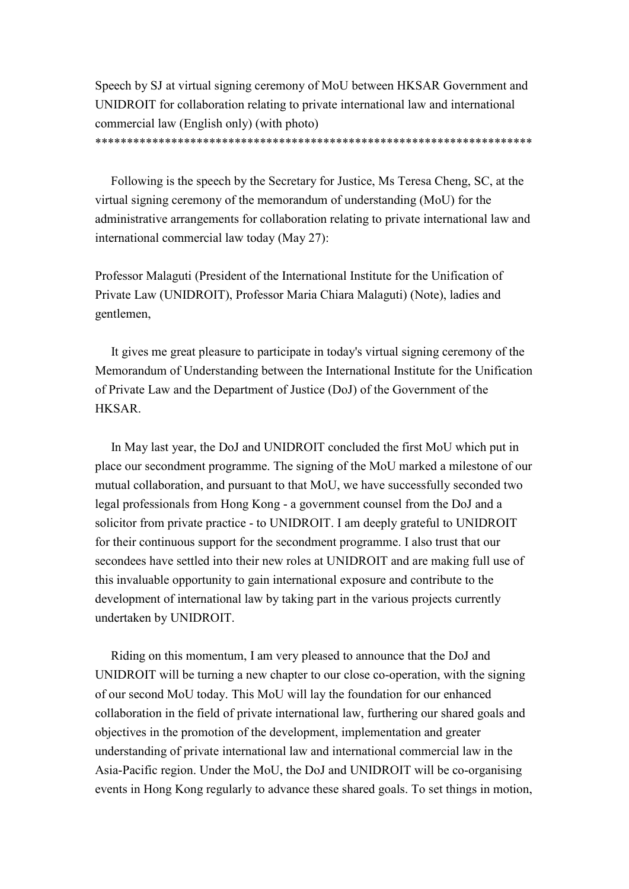Speech by SJ at virtual signing ceremony of MoU between HKSAR Government and UNIDROIT for collaboration relating to private international law and international commercial law (English only) (with photo)

\*\*\*\*\*\*\*\*\*\*\*\*\*\*\*\*\*\*\*\*\*\*\*\*\*\*\*\*\*\*\*\*\*\*\*\*\*\*\*\*\*\*\*\*\*\*\*\*\*\*\*\*\*\*\*\*\*\*\*\*\*\*\*\*\*\*\*\*\*

Following is the speech by the Secretary for Justice, Ms Teresa Cheng, SC, at the virtual signing ceremony of the memorandum of understanding (MoU) for the administrative arrangements for collaboration relating to private international law and international commercial law today (May 27):

Professor Malaguti (President of the International Institute for the Unification of Private Law (UNIDROIT), Professor Maria Chiara Malaguti) (Note), ladies and gentlemen,

It gives me great pleasure to participate in today's virtual signing ceremony of the Memorandum of Understanding between the International Institute for the Unification of Private Law and the Department of Justice (DoJ) of the Government of the HKSAR.

In May last year, the DoJ and UNIDROIT concluded the first MoU which put in place our secondment programme. The signing of the MoU marked a milestone of our mutual collaboration, and pursuant to that MoU, we have successfully seconded two legal professionals from Hong Kong - a government counsel from the DoJ and a solicitor from private practice - to UNIDROIT. I am deeply grateful to UNIDROIT for their continuous support for the secondment programme. I also trust that our secondees have settled into their new roles at UNIDROIT and are making full use of this invaluable opportunity to gain international exposure and contribute to the development of international law by taking part in the various projects currently undertaken by UNIDROIT.

Riding on this momentum, I am very pleased to announce that the DoJ and UNIDROIT will be turning a new chapter to our close co-operation, with the signing of our second MoU today. This MoU will lay the foundation for our enhanced collaboration in the field of private international law, furthering our shared goals and objectives in the promotion of the development, implementation and greater understanding of private international law and international commercial law in the Asia-Pacific region. Under the MoU, the DoJ and UNIDROIT will be co-organising events in Hong Kong regularly to advance these shared goals. To set things in motion,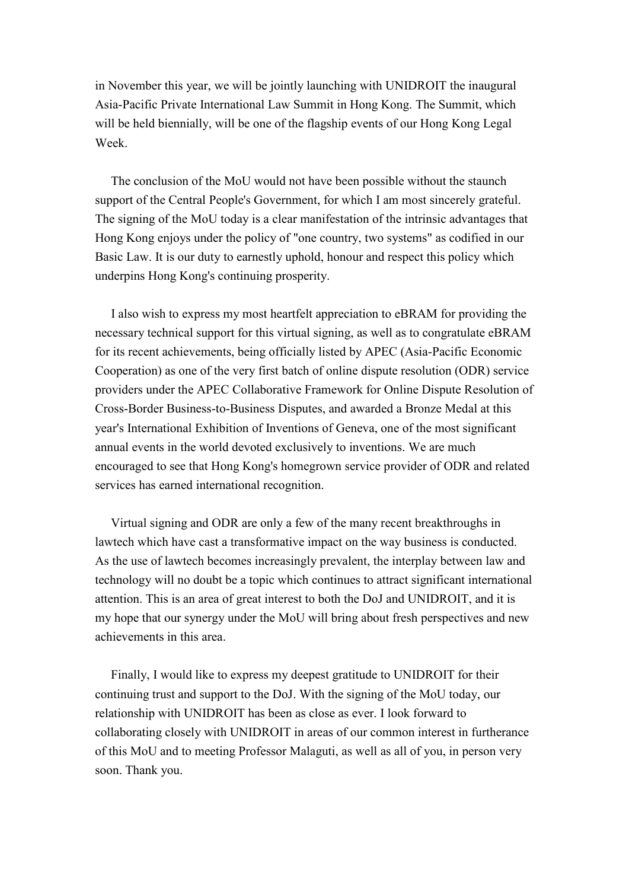in November this year, we will be jointly launching with UNIDROIT the inaugural Asia-Pacific Private International Law Summit in Hong Kong. The Summit, which will be held biennially, will be one of the flagship events of our Hong Kong Legal Week.

The conclusion of the MoU would not have been possible without the staunch support of the Central People's Government, for which I am most sincerely grateful. The signing of the MoU today is a clear manifestation of the intrinsic advantages that Hong Kong enjoys under the policy of "one country, two systems" as codified in our Basic Law. It is our duty to earnestly uphold, honour and respect this policy which underpins Hong Kong's continuing prosperity.

I also wish to express my most heartfelt appreciation to eBRAM for providing the necessary technical support for this virtual signing, as well as to congratulate eBRAM for its recent achievements, being officially listed by APEC (Asia-Pacific Economic Cooperation) as one of the very first batch of online dispute resolution (ODR) service providers under the APEC Collaborative Framework for Online Dispute Resolution of Cross-Border Business-to-Business Disputes, and awarded a Bronze Medal at this year's International Exhibition of Inventions of Geneva, one of the most significant annual events in the world devoted exclusively to inventions. We are much encouraged to see that Hong Kong's homegrown service provider of ODR and related services has earned international recognition.

Virtual signing and ODR are only a few of the many recent breakthroughs in lawtech which have cast a transformative impact on the way business is conducted. As the use of lawtech becomes increasingly prevalent, the interplay between law and technology will no doubt be a topic which continues to attract significant international attention. This is an area of great interest to both the DoJ and UNIDROIT, and it is my hope that our synergy under the MoU will bring about fresh perspectives and new achievements in this area.

Finally, I would like to express my deepest gratitude to UNIDROIT for their continuing trust and support to the DoJ. With the signing of the MoU today, our relationship with UNIDROIT has been as close as ever. I look forward to collaborating closely with UNIDROIT in areas of our common interest in furtherance of this MoU and to meeting Professor Malaguti, as well as all of you, in person very soon. Thank you.